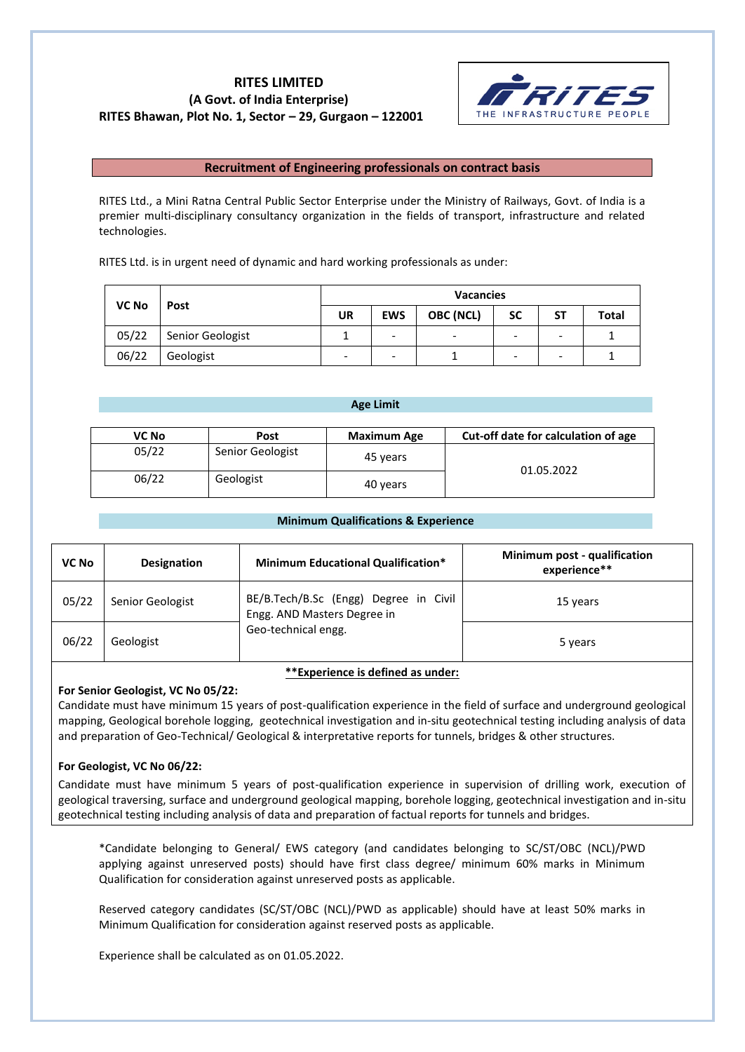# **RITES LIMITED (A Govt. of India Enterprise) RITES Bhawan, Plot No. 1, Sector – 29, Gurgaon – 122001**



## **Recruitment of Engineering professionals on contract basis**

RITES Ltd., a Mini Ratna Central Public Sector Enterprise under the Ministry of Railways, Govt. of India is a premier multi-disciplinary consultancy organization in the fields of transport, infrastructure and related technologies.

RITES Ltd. is in urgent need of dynamic and hard working professionals as under:

| <b>VC No</b> |                  | <b>Vacancies</b> |                              |                          |           |                          |              |
|--------------|------------------|------------------|------------------------------|--------------------------|-----------|--------------------------|--------------|
|              | Post             | UR               | <b>EWS</b>                   | <b>OBC (NCL)</b>         | <b>SC</b> | SΤ                       | <b>Total</b> |
| 05/22        | Senior Geologist |                  | $\qquad \qquad \blacksquare$ | $\overline{\phantom{0}}$ | -         | $\overline{\phantom{a}}$ |              |
| 06/22        | Geologist        |                  | -                            |                          | -         | -                        |              |

## **Age Limit**

| VC No | Post             | <b>Maximum Age</b> | Cut-off date for calculation of age |  |
|-------|------------------|--------------------|-------------------------------------|--|
| 05/22 | Senior Geologist | 45 years           | 01.05.2022                          |  |
| 06/22 | Geologist        | 40 years           |                                     |  |

## **Minimum Qualifications & Experience**

| VC No | <b>Designation</b> | <b>Minimum Educational Qualification*</b>                                                   | Minimum post - qualification<br>experience** |
|-------|--------------------|---------------------------------------------------------------------------------------------|----------------------------------------------|
| 05/22 | Senior Geologist   | BE/B.Tech/B.Sc (Engg) Degree in Civil<br>Engg. AND Masters Degree in<br>Geo-technical engg. | 15 years                                     |
| 06/22 | Geologist          |                                                                                             | 5 years                                      |

**\*\*Experience is defined as under:**

## **For Senior Geologist, VC No 05/22:**

Candidate must have minimum 15 years of post-qualification experience in the field of surface and underground geological mapping, Geological borehole logging, geotechnical investigation and in-situ geotechnical testing including analysis of data and preparation of Geo-Technical/ Geological & interpretative reports for tunnels, bridges & other structures.

## **For Geologist, VC No 06/22:**

Candidate must have minimum 5 years of post-qualification experience in supervision of drilling work, execution of geological traversing, surface and underground geological mapping, borehole logging, geotechnical investigation and in-situ geotechnical testing including analysis of data and preparation of factual reports for tunnels and bridges.

\*Candidate belonging to General/ EWS category (and candidates belonging to SC/ST/OBC (NCL)/PWD applying against unreserved posts) should have first class degree/ minimum 60% marks in Minimum Qualification for consideration against unreserved posts as applicable.

Reserved category candidates (SC/ST/OBC (NCL)/PWD as applicable) should have at least 50% marks in Minimum Qualification for consideration against reserved posts as applicable.

Experience shall be calculated as on 01.05.2022.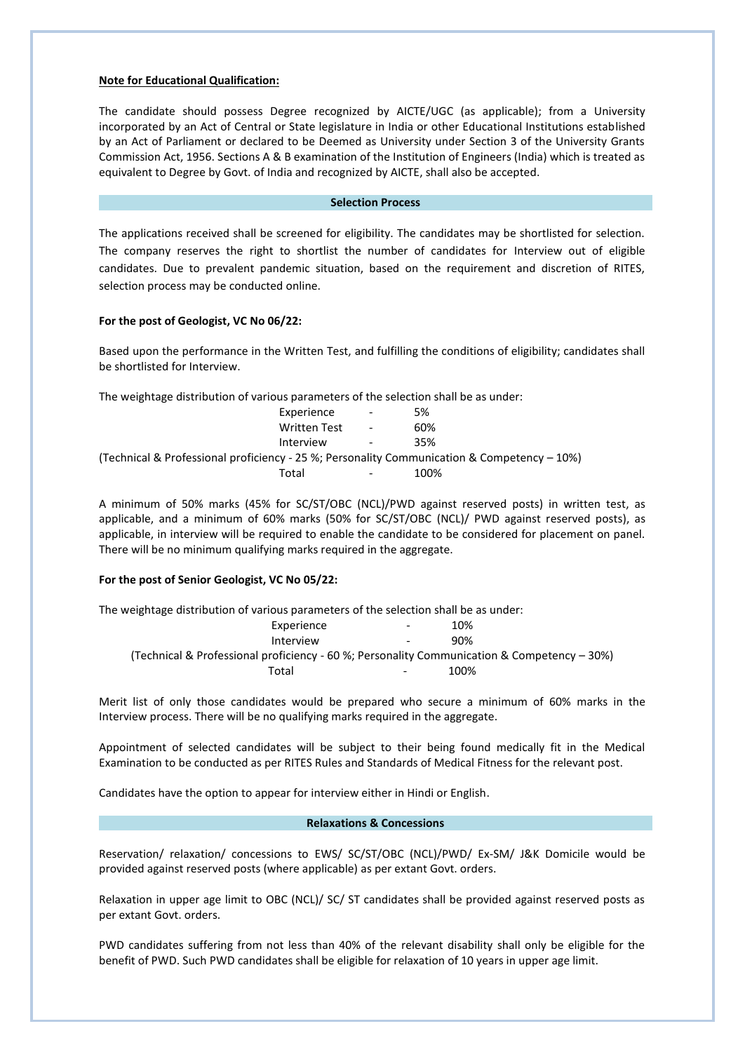## **Note for Educational Qualification:**

The candidate should possess Degree recognized by AICTE/UGC (as applicable); from a University incorporated by an Act of Central or State legislature in India or other Educational Institutions established by an Act of Parliament or declared to be Deemed as University under Section 3 of the University Grants Commission Act, 1956. Sections A & B examination of the Institution of Engineers (India) which is treated as equivalent to Degree by Govt. of India and recognized by AICTE, shall also be accepted.

### **Selection Process**

The applications received shall be screened for eligibility. The candidates may be shortlisted for selection. The company reserves the right to shortlist the number of candidates for Interview out of eligible candidates. Due to prevalent pandemic situation, based on the requirement and discretion of RITES, selection process may be conducted online.

## **For the post of Geologist, VC No 06/22:**

Based upon the performance in the Written Test, and fulfilling the conditions of eligibility; candidates shall be shortlisted for Interview.

| The weightage distribution of various parameters of the selection shall be as under:           |                     |                          |      |
|------------------------------------------------------------------------------------------------|---------------------|--------------------------|------|
|                                                                                                | Experience          |                          | 5%   |
|                                                                                                | <b>Written Test</b> | $\overline{\phantom{a}}$ | 60%  |
|                                                                                                | Interview           | $\overline{\phantom{a}}$ | 35%  |
| (Technical & Professional proficiency - 25 %; Personality Communication & Competency $-10\%$ ) |                     |                          |      |
|                                                                                                | Total               |                          | 100% |

A minimum of 50% marks (45% for SC/ST/OBC (NCL)/PWD against reserved posts) in written test, as applicable, and a minimum of 60% marks (50% for SC/ST/OBC (NCL)/ PWD against reserved posts), as applicable, in interview will be required to enable the candidate to be considered for placement on panel. There will be no minimum qualifying marks required in the aggregate.

## **For the post of Senior Geologist, VC No 05/22:**

The weightage distribution of various parameters of the selection shall be as under: Experience - 10% Interview - 90% (Technical & Professional proficiency - 60 %; Personality Communication & Competency – 30%) Total **100%** 

Merit list of only those candidates would be prepared who secure a minimum of 60% marks in the Interview process. There will be no qualifying marks required in the aggregate.

Appointment of selected candidates will be subject to their being found medically fit in the Medical Examination to be conducted as per RITES Rules and Standards of Medical Fitness for the relevant post.

Candidates have the option to appear for interview either in Hindi or English.

### **Relaxations & Concessions**

Reservation/ relaxation/ concessions to EWS/ SC/ST/OBC (NCL)/PWD/ Ex-SM/ J&K Domicile would be provided against reserved posts (where applicable) as per extant Govt. orders.

Relaxation in upper age limit to OBC (NCL)/ SC/ ST candidates shall be provided against reserved posts as per extant Govt. orders.

PWD candidates suffering from not less than 40% of the relevant disability shall only be eligible for the benefit of PWD. Such PWD candidates shall be eligible for relaxation of 10 years in upper age limit.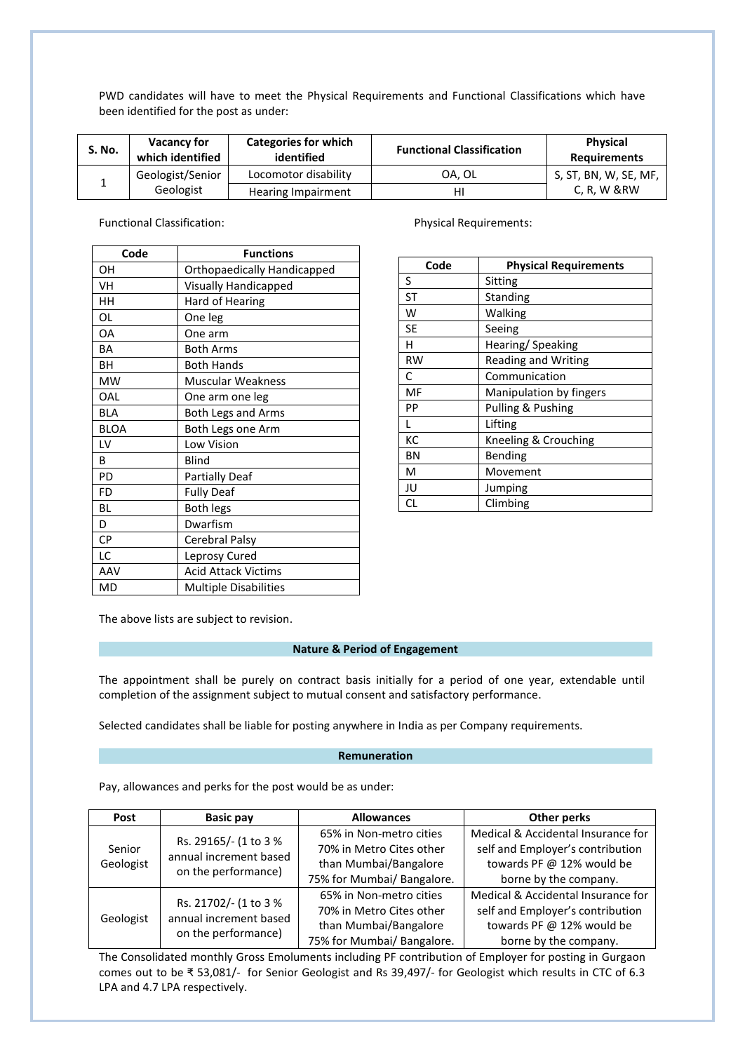PWD candidates will have to meet the Physical Requirements and Functional Classifications which have been identified for the post as under:

| S. No. | <b>Vacancy for</b><br>which identified | <b>Categories for which</b><br>identified | <b>Functional Classification</b> | <b>Physical</b><br><b>Requirements</b> |
|--------|----------------------------------------|-------------------------------------------|----------------------------------|----------------------------------------|
|        | Geologist/Senior                       | Locomotor disability                      | OA. OL                           | S, ST, BN, W, SE, MF,                  |
|        | Geologist                              | Hearing Impairment                        | н                                | $C, R, W$ &RW                          |

Functional Classification: The Physical Requirements:

| Code         | <b>Functions</b>             |
|--------------|------------------------------|
| OΗ           | Orthopaedically Handicapped  |
| VH           | <b>Visually Handicapped</b>  |
| HH           | Hard of Hearing              |
| OL           | One leg                      |
| <b>OA</b>    | One arm                      |
| BA           | <b>Both Arms</b>             |
| BН           | <b>Both Hands</b>            |
| <b>MW</b>    | Muscular Weakness            |
| OAL          | One arm one leg              |
| <b>BLA</b>   | <b>Both Legs and Arms</b>    |
| <b>BLOA</b>  | Both Legs one Arm            |
| LV           | Low Vision                   |
| <sub>B</sub> | <b>Blind</b>                 |
| PD           | <b>Partially Deaf</b>        |
| FD           | <b>Fully Deaf</b>            |
| <b>BL</b>    | <b>Both legs</b>             |
| D            | Dwarfism                     |
| <b>CP</b>    | Cerebral Palsy               |
| LC           | Leprosy Cured                |
| AAV          | <b>Acid Attack Victims</b>   |
| MD           | <b>Multiple Disabilities</b> |

| Code      | <b>Physical Requirements</b> |
|-----------|------------------------------|
| S         | Sitting                      |
| ST        | <b>Standing</b>              |
| W         | Walking                      |
| SE        | Seeing                       |
| н         | Hearing/Speaking             |
| <b>RW</b> | <b>Reading and Writing</b>   |
| C         | Communication                |
| MF        | Manipulation by fingers      |
| PP        | Pulling & Pushing            |
|           | Lifting                      |
| КC        | Kneeling & Crouching         |
| ΒN        | Bending                      |
| м         | Movement                     |
| JU        | Jumping                      |
| CL        | Climbing                     |

The above lists are subject to revision.

## **Nature & Period of Engagement**

The appointment shall be purely on contract basis initially for a period of one year, extendable until completion of the assignment subject to mutual consent and satisfactory performance.

Selected candidates shall be liable for posting anywhere in India as per Company requirements.

### **Remuneration**

Pay, allowances and perks for the post would be as under:

| <b>Post</b> | <b>Basic pay</b>                              | <b>Allowances</b>          | <b>Other perks</b>                 |
|-------------|-----------------------------------------------|----------------------------|------------------------------------|
|             | Rs. 29165/- (1 to 3 %                         | 65% in Non-metro cities    | Medical & Accidental Insurance for |
| Senior      | annual increment based                        | 70% in Metro Cites other   | self and Employer's contribution   |
| Geologist   | on the performance)                           | than Mumbai/Bangalore      | towards PF @ 12% would be          |
|             |                                               | 75% for Mumbai/ Bangalore. | borne by the company.              |
|             | Rs. 21702/- (1 to 3 %                         | 65% in Non-metro cities    | Medical & Accidental Insurance for |
| Geologist   | annual increment based<br>on the performance) | 70% in Metro Cites other   | self and Employer's contribution   |
|             |                                               | than Mumbai/Bangalore      | towards PF @ 12% would be          |
|             |                                               | 75% for Mumbai/ Bangalore. | borne by the company.              |

The Consolidated monthly Gross Emoluments including PF contribution of Employer for posting in Gurgaon comes out to be ₹ 53,081/- for Senior Geologist and Rs 39,497/- for Geologist which results in CTC of 6.3 LPA and 4.7 LPA respectively.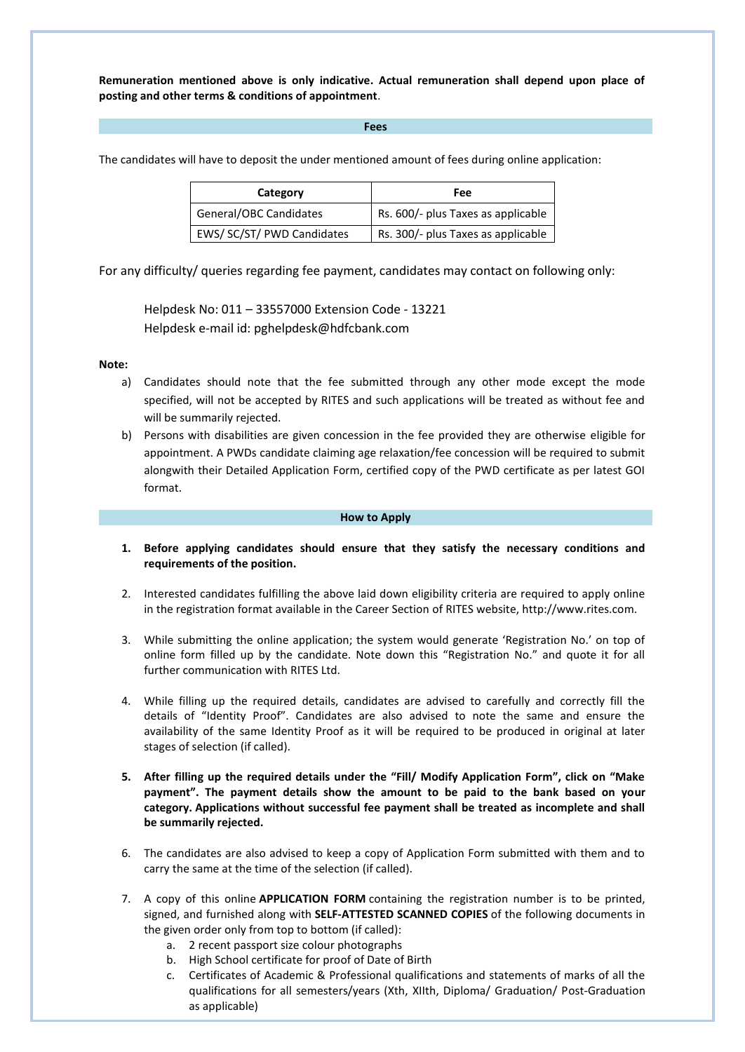**Remuneration mentioned above is only indicative. Actual remuneration shall depend upon place of posting and other terms & conditions of appointment**.

### **Fees**

The candidates will have to deposit the under mentioned amount of fees during online application:

| Category                   | Fee                                |
|----------------------------|------------------------------------|
| General/OBC Candidates     | Rs. 600/- plus Taxes as applicable |
| EWS/ SC/ST/ PWD Candidates | Rs. 300/- plus Taxes as applicable |

For any difficulty/ queries regarding fee payment, candidates may contact on following only:

Helpdesk No: 011 – 33557000 Extension Code - 13221 Helpdesk e-mail id: pghelpdesk@hdfcbank.com

#### **Note:**

- a) Candidates should note that the fee submitted through any other mode except the mode specified, will not be accepted by RITES and such applications will be treated as without fee and will be summarily rejected.
- b) Persons with disabilities are given concession in the fee provided they are otherwise eligible for appointment. A PWDs candidate claiming age relaxation/fee concession will be required to submit alongwith their Detailed Application Form, certified copy of the PWD certificate as per latest GOI format.

#### **How to Apply**

- **1. Before applying candidates should ensure that they satisfy the necessary conditions and requirements of the position.**
- 2. Interested candidates fulfilling the above laid down eligibility criteria are required to apply online in the registration format available in the Career Section of RITES website, http://www.rites.com.
- 3. While submitting the online application; the system would generate 'Registration No.' on top of online form filled up by the candidate. Note down this "Registration No." and quote it for all further communication with RITES Ltd.
- 4. While filling up the required details, candidates are advised to carefully and correctly fill the details of "Identity Proof". Candidates are also advised to note the same and ensure the availability of the same Identity Proof as it will be required to be produced in original at later stages of selection (if called).
- **5. After filling up the required details under the "Fill/ Modify Application Form", click on "Make payment". The payment details show the amount to be paid to the bank based on your category. Applications without successful fee payment shall be treated as incomplete and shall be summarily rejected.**
- 6. The candidates are also advised to keep a copy of Application Form submitted with them and to carry the same at the time of the selection (if called).
- 7. A copy of this online **APPLICATION FORM** containing the registration number is to be printed, signed, and furnished along with **SELF-ATTESTED SCANNED COPIES** of the following documents in the given order only from top to bottom (if called):
	- a. 2 recent passport size colour photographs
	- b. High School certificate for proof of Date of Birth
	- c. Certificates of Academic & Professional qualifications and statements of marks of all the qualifications for all semesters/years (Xth, XIIth, Diploma/ Graduation/ Post-Graduation as applicable)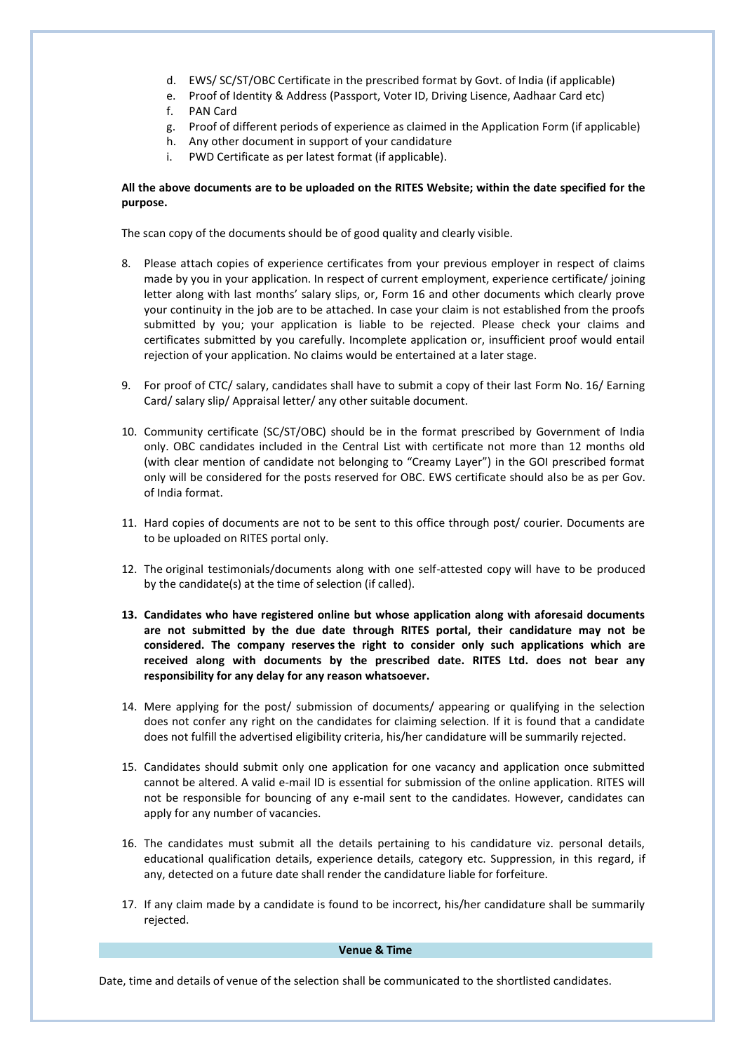- d. EWS/ SC/ST/OBC Certificate in the prescribed format by Govt. of India (if applicable)
- e. Proof of Identity & Address (Passport, Voter ID, Driving Lisence, Aadhaar Card etc)
- f. PAN Card
- g. Proof of different periods of experience as claimed in the Application Form (if applicable)
- h. Any other document in support of your candidature
- i. PWD Certificate as per latest format (if applicable).

## **All the above documents are to be uploaded on the RITES Website; within the date specified for the purpose.**

The scan copy of the documents should be of good quality and clearly visible.

- 8. Please attach copies of experience certificates from your previous employer in respect of claims made by you in your application. In respect of current employment, experience certificate/ joining letter along with last months' salary slips, or, Form 16 and other documents which clearly prove your continuity in the job are to be attached. In case your claim is not established from the proofs submitted by you; your application is liable to be rejected. Please check your claims and certificates submitted by you carefully. Incomplete application or, insufficient proof would entail rejection of your application. No claims would be entertained at a later stage.
- 9. For proof of CTC/ salary, candidates shall have to submit a copy of their last Form No. 16/ Earning Card/ salary slip/ Appraisal letter/ any other suitable document.
- 10. Community certificate (SC/ST/OBC) should be in the format prescribed by Government of India only. OBC candidates included in the Central List with certificate not more than 12 months old (with clear mention of candidate not belonging to "Creamy Layer") in the GOI prescribed format only will be considered for the posts reserved for OBC. EWS certificate should also be as per Gov. of India format.
- 11. Hard copies of documents are not to be sent to this office through post/ courier. Documents are to be uploaded on RITES portal only.
- 12. The original testimonials/documents along with one self-attested copy will have to be produced by the candidate(s) at the time of selection (if called).
- **13. Candidates who have registered online but whose application along with aforesaid documents are not submitted by the due date through RITES portal, their candidature may not be considered. The company reserves the right to consider only such applications which are received along with documents by the prescribed date. RITES Ltd. does not bear any responsibility for any delay for any reason whatsoever.**
- 14. Mere applying for the post/ submission of documents/ appearing or qualifying in the selection does not confer any right on the candidates for claiming selection. If it is found that a candidate does not fulfill the advertised eligibility criteria, his/her candidature will be summarily rejected.
- 15. Candidates should submit only one application for one vacancy and application once submitted cannot be altered. A valid e-mail ID is essential for submission of the online application. RITES will not be responsible for bouncing of any e-mail sent to the candidates. However, candidates can apply for any number of vacancies.
- 16. The candidates must submit all the details pertaining to his candidature viz. personal details, educational qualification details, experience details, category etc. Suppression, in this regard, if any, detected on a future date shall render the candidature liable for forfeiture.
- 17. If any claim made by a candidate is found to be incorrect, his/her candidature shall be summarily rejected.

## **Venue & Time**

Date, time and details of venue of the selection shall be communicated to the shortlisted candidates.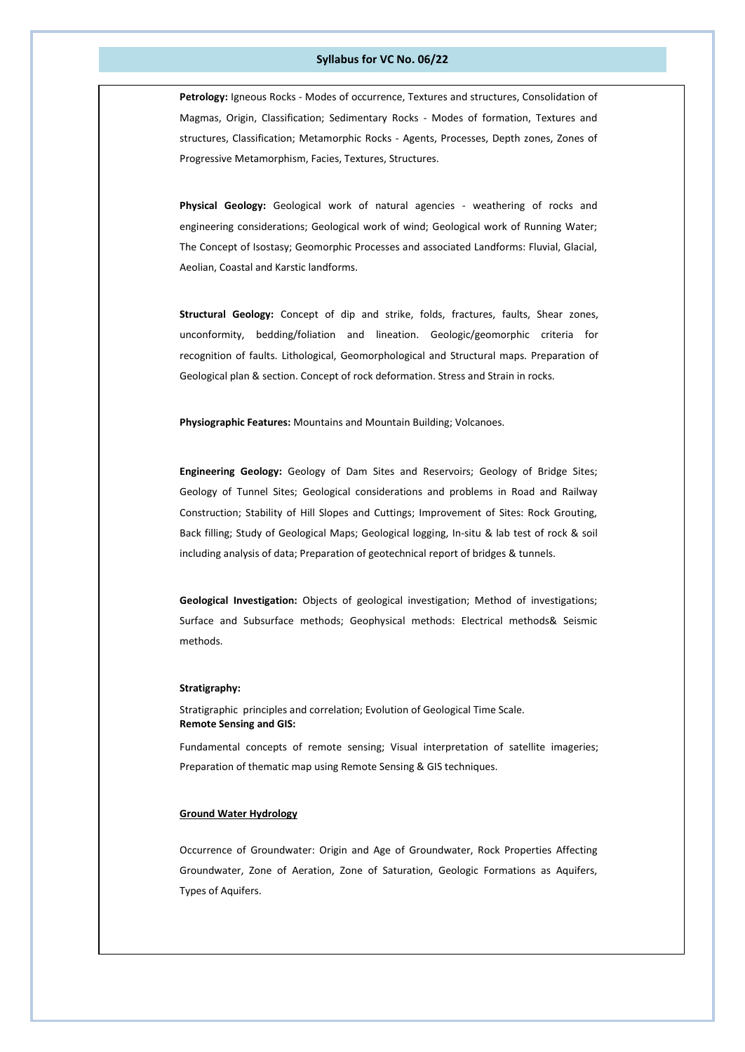### **Syllabus for VC No. 06/22**

**Petrology:** Igneous Rocks - Modes of occurrence, Textures and structures, Consolidation of Magmas, Origin, Classification; Sedimentary Rocks - Modes of formation, Textures and structures, Classification; Metamorphic Rocks - Agents, Processes, Depth zones, Zones of Progressive Metamorphism, Facies, Textures, Structures.

**Physical Geology:** Geological work of natural agencies - weathering of rocks and engineering considerations; Geological work of wind; Geological work of Running Water; The Concept of Isostasy; Geomorphic Processes and associated Landforms: Fluvial, Glacial, Aeolian, Coastal and Karstic landforms.

**Structural Geology:** Concept of dip and strike, folds, fractures, faults, Shear zones, unconformity, bedding/foliation and lineation. Geologic/geomorphic criteria for recognition of faults. Lithological, Geomorphological and Structural maps. Preparation of Geological plan & section. Concept of rock deformation. Stress and Strain in rocks.

**Physiographic Features:** Mountains and Mountain Building; Volcanoes.

**Engineering Geology:** Geology of Dam Sites and Reservoirs; Geology of Bridge Sites; Geology of Tunnel Sites; Geological considerations and problems in Road and Railway Construction; Stability of Hill Slopes and Cuttings; Improvement of Sites: Rock Grouting, Back filling; Study of Geological Maps; Geological logging, In-situ & lab test of rock & soil including analysis of data; Preparation of geotechnical report of bridges & tunnels.

**Geological Investigation:** Objects of geological investigation; Method of investigations; Surface and Subsurface methods; Geophysical methods: Electrical methods& Seismic methods.

#### **Stratigraphy:**

Stratigraphic principles and correlation; Evolution of Geological Time Scale. **Remote Sensing and GIS:**

Fundamental concepts of remote sensing; Visual interpretation of satellite imageries; Preparation of thematic map using Remote Sensing & GIS techniques.

### **Ground Water Hydrology**

Occurrence of Groundwater: Origin and Age of Groundwater, Rock Properties Affecting Groundwater, Zone of Aeration, Zone of Saturation, Geologic Formations as Aquifers, Types of Aquifers.